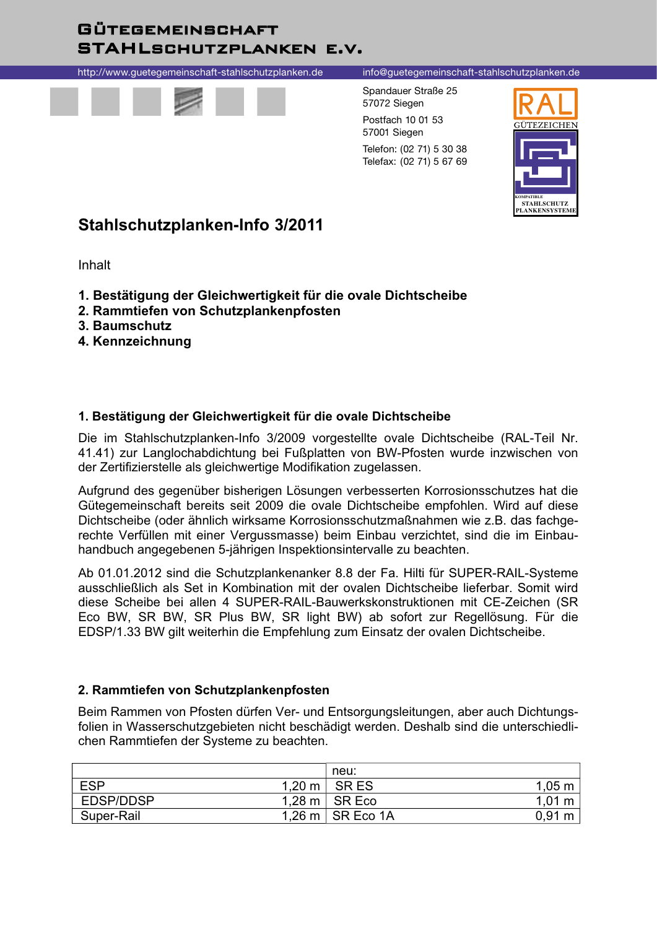## **GÜTEGEMEINSCHAFT STAHLSCHUTZPLANKEN E.V.**

http://www.guetegemeinschaft-stahlschutzplanken.de



#### info@guetegemeinschaft-stahlschutzplanken.de

Spandauer Straße 25 57072 Siegen Postfach 10 01 53 57001 Siegen Telefon: (02 71) 5 30 38 Telefax: (02 71) 5 67 69



# Stahlschutzplanken-Info 3/2011

Inhalt

- 1. Bestätigung der Gleichwertigkeit für die ovale Dichtscheibe
- 2. Rammtiefen von Schutzplankenpfosten
- 3. Baumschutz
- 4. Kennzeichnung

### 1. Bestätigung der Gleichwertigkeit für die ovale Dichtscheibe

Die im Stahlschutzplanken-Info 3/2009 vorgestellte ovale Dichtscheibe (RAL-Teil Nr. 41.41) zur Langlochabdichtung bei Fußplatten von BW-Pfosten wurde inzwischen von der Zertifizierstelle als gleichwertige Modifikation zugelassen.

Aufgrund des gegenüber bisherigen Lösungen verbesserten Korrosionsschutzes hat die Gütegemeinschaft bereits seit 2009 die ovale Dichtscheibe empfohlen. Wird auf diese Dichtscheibe (oder ähnlich wirksame Korrosionsschutzmaßnahmen wie z.B. das fachgerechte Verfüllen mit einer Vergussmasse) beim Einbau verzichtet, sind die im Einbauhandbuch angegebenen 5-jährigen Inspektionsintervalle zu beachten.

Ab 01.01.2012 sind die Schutzplankenanker 8.8 der Fa. Hilti für SUPER-RAIL-Systeme ausschließlich als Set in Kombination mit der ovalen Dichtscheibe lieferbar. Somit wird diese Scheibe bei allen 4 SUPER-RAIL-Bauwerkskonstruktionen mit CE-Zeichen (SR Eco BW, SR BW, SR Plus BW, SR light BW) ab sofort zur Regellösung. Für die EDSP/1.33 BW gilt weiterhin die Empfehlung zum Einsatz der ovalen Dichtscheibe.

### 2. Rammtiefen von Schutzplankenpfosten

Beim Rammen von Pfosten dürfen Ver- und Entsorgungsleitungen, aber auch Dichtungsfolien in Wasserschutzgebieten nicht beschädigt werden. Deshalb sind die unterschiedlichen Rammtiefen der Systeme zu beachten.

|            | neu:                       |                    |
|------------|----------------------------|--------------------|
| <b>ESP</b> | $1,20 \text{ m}$ SR ES     | $1,05 \text{ m}$   |
| EDSP/DDSP  | $1,28 \text{ m}$ SR Eco    | $1,01 \; \text{m}$ |
| Super-Rail | $1,26$ m $\vert$ SR Eco 1A | $0,91 \text{ m}$   |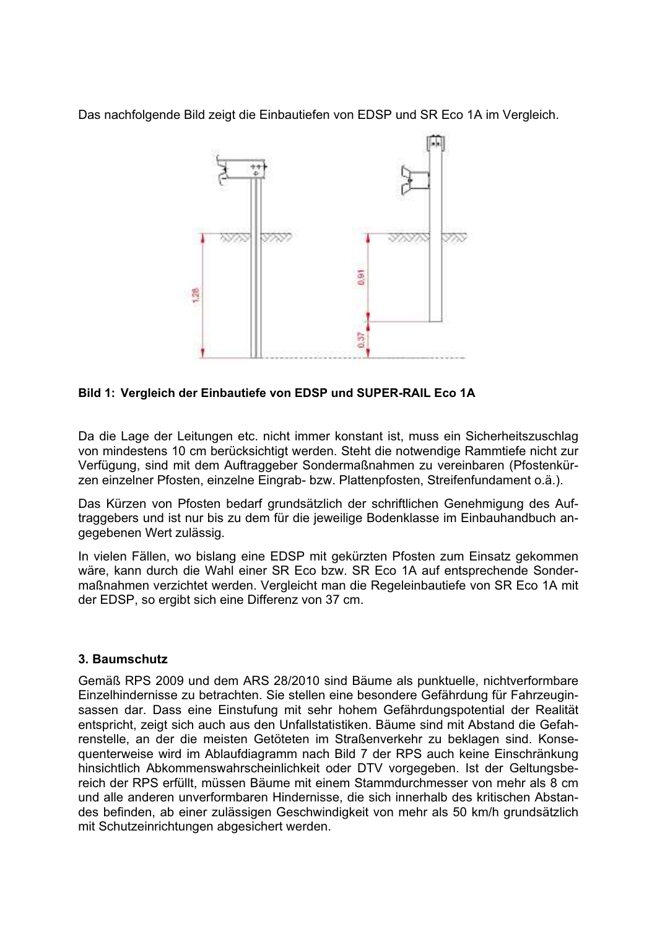Das nachfolgende Bild zeigt die Einbautiefen von EDSP und SR Eco 1A im Vergleich.



Bild 1: Vergleich der Einbautiefe von EDSP und SUPER-RAIL Eco 1A

Da die Lage der Leitungen etc. nicht immer konstant ist, muss ein Sicherheitszuschlag von mindestens 10 cm berücksichtigt werden. Steht die notwendige Rammtiefe nicht zur Verfügung, sind mit dem Auftraggeber Sondermaßnahmen zu vereinbaren (Pfostenkürzen einzelner Pfosten, einzelne Eingrab- bzw. Plattenpfosten, Streifenfundament o.ä.).

Das Kürzen von Pfosten bedarf grundsätzlich der schriftlichen Genehmigung des Auftraggebers und ist nur bis zu dem für die jeweilige Bodenklasse im Einbauhandbuch angegebenen Wert zulässig.

In vielen Fällen, wo bislang eine EDSP mit gekürzten Pfosten zum Einsatz gekommen wäre, kann durch die Wahl einer SR Eco bzw. SR Eco 1A auf entsprechende Sondermaßnahmen verzichtet werden. Vergleicht man die Regeleinbautiefe von SR Eco 1A mit der EDSP, so ergibt sich eine Differenz von 37 cm.

### 3. Baumschutz

Gemäß RPS 2009 und dem ARS 28/2010 sind Bäume als punktuelle, nichtverformbare Einzelhindernisse zu betrachten. Sie stellen eine besondere Gefährdung für Fahrzeuginsassen dar. Dass eine Einstufung mit sehr hohem Gefährdungspotential der Realität entspricht, zeigt sich auch aus den Unfallstatistiken. Bäume sind mit Abstand die Gefahrenstelle, an der die meisten Getöteten im Straßenverkehr zu beklagen sind. Konseguenterweise wird im Ablaufdiagramm nach Bild 7 der RPS auch keine Einschränkung hinsichtlich Abkommenswahrscheinlichkeit oder DTV vorgegeben. Ist der Geltungsbereich der RPS erfüllt, müssen Bäume mit einem Stammdurchmesser von mehr als 8 cm und alle anderen unverformbaren Hindernisse, die sich innerhalb des kritischen Abstandes befinden, ab einer zulässigen Geschwindigkeit von mehr als 50 km/h grundsätzlich mit Schutzeinrichtungen abgesichert werden.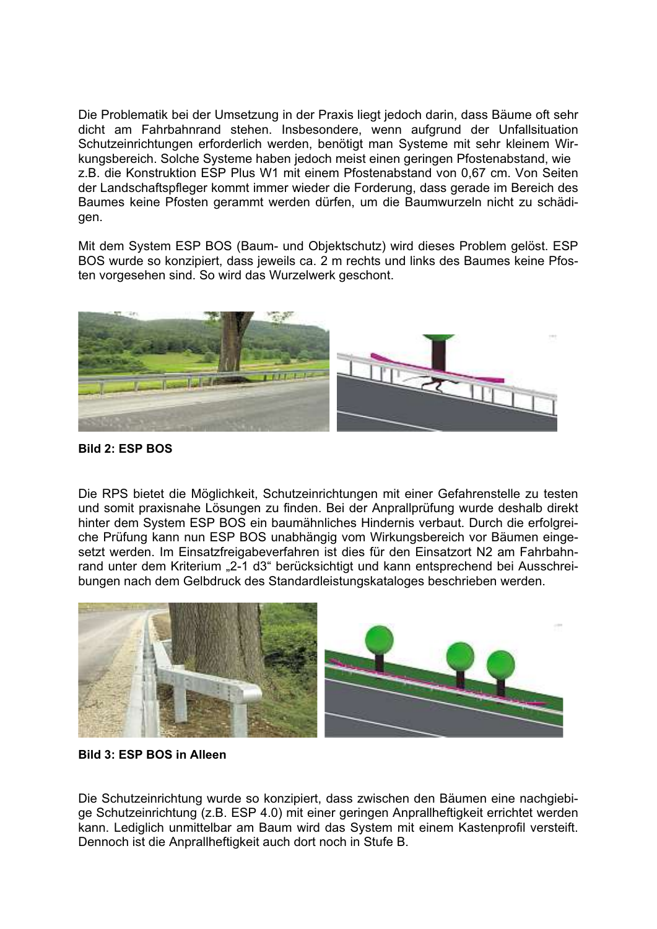Die Problematik bei der Umsetzung in der Praxis liegt jedoch darin, dass Bäume oft sehr dicht am Fahrbahnrand stehen. Insbesondere, wenn aufgrund der Unfallsituation Schutzeinrichtungen erforderlich werden, benötigt man Systeme mit sehr kleinem Wirkungsbereich. Solche Systeme haben jedoch meist einen geringen Pfostenabstand, wie z.B. die Konstruktion ESP Plus W1 mit einem Pfostenabstand von 0,67 cm. Von Seiten der Landschaftspfleger kommt immer wieder die Forderung, dass gerade im Bereich des Baumes keine Pfosten gerammt werden dürfen, um die Baumwurzeln nicht zu schädigen.

Mit dem System ESP BOS (Baum- und Objektschutz) wird dieses Problem gelöst. ESP BOS wurde so konzipiert, dass jeweils ca. 2 m rechts und links des Baumes keine Pfosten vorgesehen sind. So wird das Wurzelwerk geschont.



**Bild 2: ESP BOS** 

Die RPS bietet die Möglichkeit, Schutzeinrichtungen mit einer Gefahrenstelle zu testen und somit praxisnahe Lösungen zu finden. Bei der Anprallprüfung wurde deshalb direkt hinter dem System ESP BOS ein baumähnliches Hindernis verbaut. Durch die erfolgreiche Prüfung kann nun ESP BOS unabhängig vom Wirkungsbereich vor Bäumen eingesetzt werden. Im Einsatzfreigabeverfahren ist dies für den Einsatzort N2 am Fahrbahnrand unter dem Kriterium "2-1 d3" berücksichtigt und kann entsprechend bei Ausschreibungen nach dem Gelbdruck des Standardleistungskataloges beschrieben werden.



**Bild 3: ESP BOS in Alleen** 

Die Schutzeinrichtung wurde so konzipiert, dass zwischen den Bäumen eine nachgiebige Schutzeinrichtung (z.B. ESP 4.0) mit einer geringen Anprallheftigkeit errichtet werden kann. Lediglich unmittelbar am Baum wird das System mit einem Kastenprofil versteift. Dennoch ist die Anprallheftigkeit auch dort noch in Stufe B.